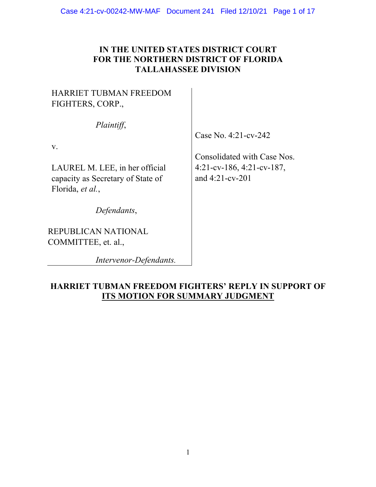### **IN THE UNITED STATES DISTRICT COURT FOR THE NORTHERN DISTRICT OF FLORIDA TALLAHASSEE DIVISION**

HARRIET TUBMAN FREEDOM FIGHTERS, CORP.,

*Plaintiff*,

v.

LAUREL M. LEE, in her official capacity as Secretary of State of Florida, *et al.*,

*Defendants*,

REPUBLICAN NATIONAL COMMITTEE, et. al.,

*Intervenor-Defendants.*

Case No. 4:21-cv-242

Consolidated with Case Nos. 4:21-cv-186, 4:21-cv-187, and 4:21-cv-201

# **HARRIET TUBMAN FREEDOM FIGHTERS' REPLY IN SUPPORT OF ITS MOTION FOR SUMMARY JUDGMENT**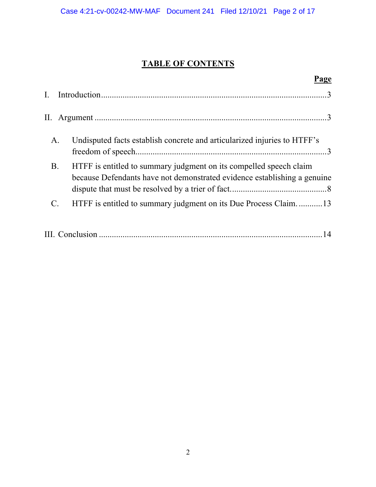# **TABLE OF CONTENTS**

| 'age                                                                                                                                                        |  |
|-------------------------------------------------------------------------------------------------------------------------------------------------------------|--|
|                                                                                                                                                             |  |
| П.                                                                                                                                                          |  |
| Undisputed facts establish concrete and articularized injuries to HTFF's<br>A.                                                                              |  |
| <b>B.</b><br>HTFF is entitled to summary judgment on its compelled speech claim<br>because Defendants have not demonstrated evidence establishing a genuine |  |
| $\mathcal{C}.$<br>HTFF is entitled to summary judgment on its Due Process Claim13                                                                           |  |
|                                                                                                                                                             |  |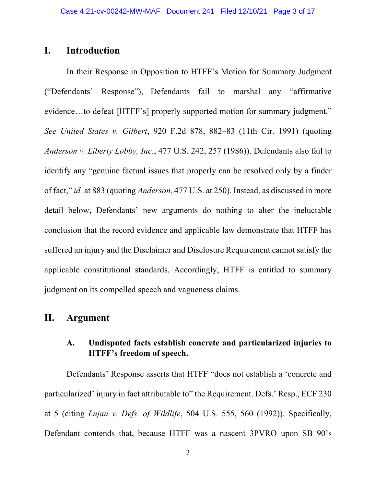### **I. Introduction**

In their Response in Opposition to HTFF's Motion for Summary Judgment ("Defendants' Response"), Defendants fail to marshal any "affirmative evidence…to defeat [HTFF's] properly supported motion for summary judgment." *See United States v. Gilbert*, 920 F.2d 878, 882–83 (11th Cir. 1991) (quoting *Anderson v. Liberty Lobby, Inc*., 477 U.S. 242, 257 (1986)). Defendants also fail to identify any "genuine factual issues that properly can be resolved only by a finder of fact," *id.* at 883 (quoting *Anderson*, 477 U.S. at 250). Instead, as discussed in more detail below, Defendants' new arguments do nothing to alter the ineluctable conclusion that the record evidence and applicable law demonstrate that HTFF has suffered an injury and the Disclaimer and Disclosure Requirement cannot satisfy the applicable constitutional standards. Accordingly, HTFF is entitled to summary judgment on its compelled speech and vagueness claims.

# **II. Argument**

# **A. Undisputed facts establish concrete and particularized injuries to HTFF's freedom of speech.**

Defendants' Response asserts that HTFF "does not establish a 'concrete and particularized' injury in fact attributable to" the Requirement. Defs.' Resp., ECF 230 at 5 (citing *Lujan v. Defs. of Wildlife*, 504 U.S. 555, 560 (1992)). Specifically, Defendant contends that, because HTFF was a nascent 3PVRO upon SB 90's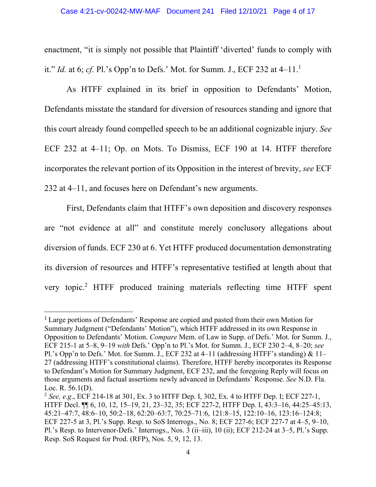enactment, "it is simply not possible that Plaintiff 'diverted' funds to comply with it." *Id.* at 6; *cf.* Pl.'s Opp'n to Defs.' Mot. for Summ. J., ECF 232 at  $4-11$ .<sup>1</sup>

As HTFF explained in its brief in opposition to Defendants' Motion, Defendants misstate the standard for diversion of resources standing and ignore that this court already found compelled speech to be an additional cognizable injury. *See*  ECF 232 at 4–11; Op. on Mots. To Dismiss, ECF 190 at 14. HTFF therefore incorporates the relevant portion of its Opposition in the interest of brevity, *see* ECF 232 at 4–11, and focuses here on Defendant's new arguments.

First, Defendants claim that HTFF's own deposition and discovery responses are "not evidence at all" and constitute merely conclusory allegations about diversion of funds. ECF 230 at 6. Yet HTFF produced documentation demonstrating its diversion of resources and HTFF's representative testified at length about that very topic. <sup>2</sup> HTFF produced training materials reflecting time HTFF spent

<sup>&</sup>lt;sup>1</sup> Large portions of Defendants' Response are copied and pasted from their own Motion for Summary Judgment ("Defendants' Motion"), which HTFF addressed in its own Response in Opposition to Defendants' Motion. *Compare* Mem. of Law in Supp. of Defs.' Mot. for Summ. J., ECF 215-1 at 5–8, 9–19 *with* Defs.' Opp'n to Pl.'s Mot. for Summ. J., ECF 230 2–4, 8–20; *see*  Pl.'s Opp'n to Defs.' Mot. for Summ. J., ECF 232 at 4-11 (addressing HTFF's standing) & 11-27 (addressing HTFF's constitutional claims). Therefore, HTFF hereby incorporates its Response to Defendant's Motion for Summary Judgment, ECF 232, and the foregoing Reply will focus on those arguments and factual assertions newly advanced in Defendants' Response. *See* N.D. Fla. Loc. R. 56.1(D).

<sup>2</sup> *See, e.g*., ECF 214-18 at 301, Ex. 3 to HTFF Dep. I, 302, Ex. 4 to HTFF Dep. I; ECF 227-1, HTFF Decl. ¶¶ 6, 10, 12, 15–19, 21, 23–32, 35; ECF 227-2, HTFF Dep. I, 43:3–16, 44:25–45:13, 45:21–47:7, 48:6–10, 50:2–18, 62:20–63:7, 70:25–71:6, 121:8–15, 122:10–16, 123:16–124:8; ECF 227-5 at 3, Pl.'s Supp. Resp. to SoS Interrogs., No. 8; ECF 227-6; ECF 227-7 at 4–5, 9–10, Pl.'s Resp. to Intervenor-Defs.' Interrogs., Nos. 3 (ii–iii), 10 (ii); ECF 212-24 at 3–5, Pl.'s Supp. Resp. SoS Request for Prod. (RFP), Nos. 5, 9, 12, 13.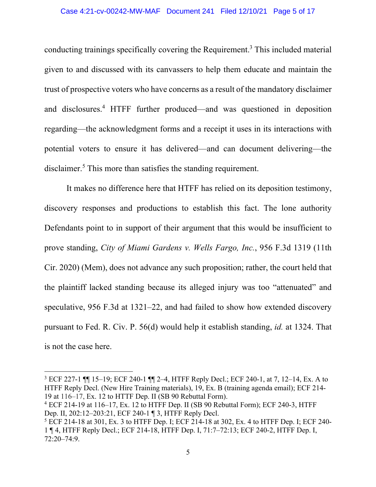conducting trainings specifically covering the Requirement.3 This included material given to and discussed with its canvassers to help them educate and maintain the trust of prospective voters who have concerns as a result of the mandatory disclaimer and disclosures.4 HTFF further produced—and was questioned in deposition regarding—the acknowledgment forms and a receipt it uses in its interactions with potential voters to ensure it has delivered—and can document delivering—the disclaimer.<sup>5</sup> This more than satisfies the standing requirement.

It makes no difference here that HTFF has relied on its deposition testimony, discovery responses and productions to establish this fact. The lone authority Defendants point to in support of their argument that this would be insufficient to prove standing, *City of Miami Gardens v. Wells Fargo, Inc.*, 956 F.3d 1319 (11th Cir. 2020) (Mem), does not advance any such proposition; rather, the court held that the plaintiff lacked standing because its alleged injury was too "attenuated" and speculative, 956 F.3d at 1321–22, and had failed to show how extended discovery pursuant to Fed. R. Civ. P. 56(d) would help it establish standing, *id.* at 1324. That is not the case here.

<sup>3</sup> ECF 227-1 ¶¶ 15–19; ECF 240-1 ¶¶ 2–4, HTFF Reply Decl.; ECF 240-1, at 7, 12–14, Ex. A to HTFF Reply Decl. (New Hire Training materials), 19, Ex. B (training agenda email); ECF 214- 19 at 116–17, Ex. 12 to HTTF Dep. II (SB 90 Rebuttal Form).

<sup>4</sup> ECF 214-19 at 116–17, Ex. 12 to HTFF Dep. II (SB 90 Rebuttal Form); ECF 240-3, HTFF Dep. II, 202:12–203:21, ECF 240-1 ¶ 3, HTFF Reply Decl.

<sup>5</sup> ECF 214-18 at 301, Ex. 3 to HTFF Dep. I; ECF 214-18 at 302, Ex. 4 to HTFF Dep. I; ECF 240- 1 ¶ 4, HTFF Reply Decl.; ECF 214-18, HTFF Dep. I, 71:7–72:13; ECF 240-2, HTFF Dep. I, 72:20–74:9.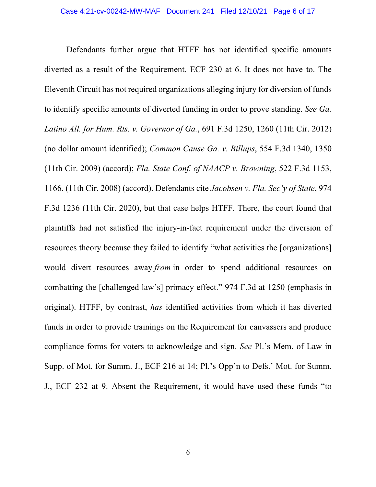Defendants further argue that HTFF has not identified specific amounts diverted as a result of the Requirement. ECF 230 at 6. It does not have to. The Eleventh Circuit has not required organizations alleging injury for diversion of funds to identify specific amounts of diverted funding in order to prove standing. *See Ga. Latino All. for Hum. Rts. v. Governor of Ga.*, 691 F.3d 1250, 1260 (11th Cir. 2012) (no dollar amount identified); *Common Cause Ga. v. Billups*, 554 F.3d 1340, 1350 (11th Cir. 2009) (accord); *Fla. State Conf. of NAACP v. Browning*, 522 F.3d 1153, 1166. (11th Cir. 2008) (accord). Defendants cite *Jacobsen v. Fla. Sec'y of State*, 974 F.3d 1236 (11th Cir. 2020), but that case helps HTFF. There, the court found that plaintiffs had not satisfied the injury-in-fact requirement under the diversion of resources theory because they failed to identify "what activities the [organizations] would divert resources away *from* in order to spend additional resources on combatting the [challenged law's] primacy effect." 974 F.3d at 1250 (emphasis in original). HTFF, by contrast, *has* identified activities from which it has diverted funds in order to provide trainings on the Requirement for canvassers and produce compliance forms for voters to acknowledge and sign. *See* Pl.'s Mem. of Law in Supp. of Mot. for Summ. J., ECF 216 at 14; Pl.'s Opp'n to Defs.' Mot. for Summ. J., ECF 232 at 9. Absent the Requirement, it would have used these funds "to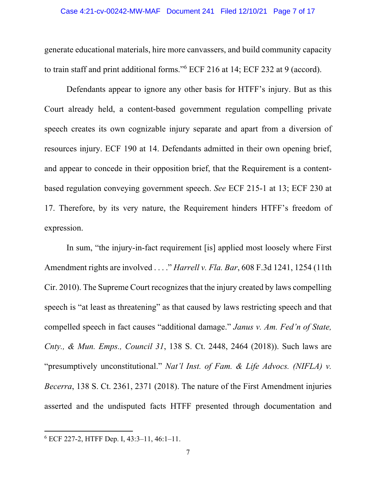generate educational materials, hire more canvassers, and build community capacity to train staff and print additional forms."6 ECF 216 at 14; ECF 232 at 9 (accord).

Defendants appear to ignore any other basis for HTFF's injury. But as this Court already held, a content-based government regulation compelling private speech creates its own cognizable injury separate and apart from a diversion of resources injury. ECF 190 at 14. Defendants admitted in their own opening brief, and appear to concede in their opposition brief, that the Requirement is a contentbased regulation conveying government speech. *See* ECF 215-1 at 13; ECF 230 at 17. Therefore, by its very nature, the Requirement hinders HTFF's freedom of expression.

In sum, "the injury-in-fact requirement [is] applied most loosely where First Amendment rights are involved . . . ." *Harrell v. Fla. Bar*, 608 F.3d 1241, 1254 (11th Cir. 2010). The Supreme Court recognizes that the injury created by laws compelling speech is "at least as threatening" as that caused by laws restricting speech and that compelled speech in fact causes "additional damage." *Janus v. Am. Fed'n of State, Cnty., & Mun. Emps., Council 31*, 138 S. Ct. 2448, 2464 (2018)). Such laws are "presumptively unconstitutional." *Nat'l Inst. of Fam. & Life Advocs. (NIFLA) v. Becerra*, 138 S. Ct. 2361, 2371 (2018). The nature of the First Amendment injuries asserted and the undisputed facts HTFF presented through documentation and

<sup>6</sup> ECF 227-2, HTFF Dep. I, 43:3–11, 46:1–11.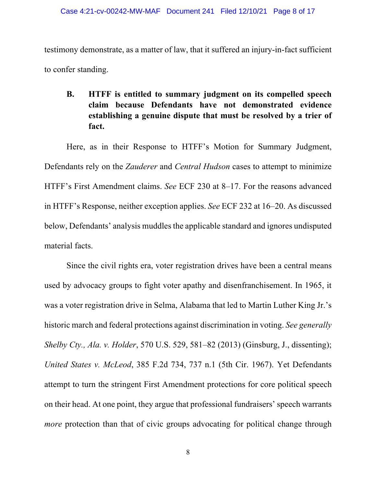testimony demonstrate, as a matter of law, that it suffered an injury-in-fact sufficient to confer standing.

**B. HTFF is entitled to summary judgment on its compelled speech claim because Defendants have not demonstrated evidence establishing a genuine dispute that must be resolved by a trier of fact.**

Here, as in their Response to HTFF's Motion for Summary Judgment, Defendants rely on the *Zauderer* and *Central Hudson* cases to attempt to minimize HTFF's First Amendment claims. *See* ECF 230 at 8–17. For the reasons advanced in HTFF's Response, neither exception applies. *See* ECF 232 at 16–20. As discussed below, Defendants' analysis muddles the applicable standard and ignores undisputed material facts.

Since the civil rights era, voter registration drives have been a central means used by advocacy groups to fight voter apathy and disenfranchisement. In 1965, it was a voter registration drive in Selma, Alabama that led to Martin Luther King Jr.'s historic march and federal protections against discrimination in voting. *See generally Shelby Cty., Ala. v. Holder*, 570 U.S. 529, 581–82 (2013) (Ginsburg, J., dissenting); *United States v. McLeod*, 385 F.2d 734, 737 n.1 (5th Cir. 1967). Yet Defendants attempt to turn the stringent First Amendment protections for core political speech on their head. At one point, they argue that professional fundraisers' speech warrants *more* protection than that of civic groups advocating for political change through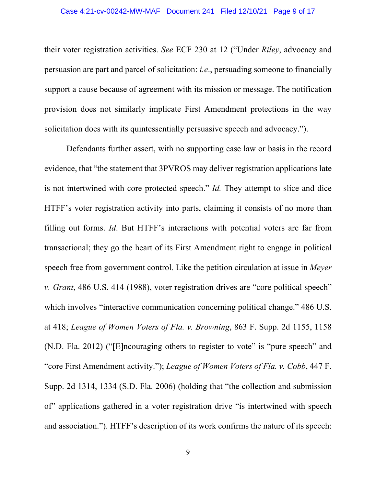their voter registration activities. *See* ECF 230 at 12 ("Under *Riley*, advocacy and persuasion are part and parcel of solicitation: *i.e*., persuading someone to financially support a cause because of agreement with its mission or message. The notification provision does not similarly implicate First Amendment protections in the way solicitation does with its quintessentially persuasive speech and advocacy.").

Defendants further assert, with no supporting case law or basis in the record evidence, that "the statement that 3PVROS may deliver registration applications late is not intertwined with core protected speech." *Id.* They attempt to slice and dice HTFF's voter registration activity into parts, claiming it consists of no more than filling out forms. *Id*. But HTFF's interactions with potential voters are far from transactional; they go the heart of its First Amendment right to engage in political speech free from government control. Like the petition circulation at issue in *Meyer v. Grant*, 486 U.S. 414 (1988), voter registration drives are "core political speech" which involves "interactive communication concerning political change." 486 U.S. at 418; *League of Women Voters of Fla. v. Browning*, 863 F. Supp. 2d 1155, 1158 (N.D. Fla. 2012) ("[E]ncouraging others to register to vote" is "pure speech" and "core First Amendment activity."); *League of Women Voters of Fla. v. Cobb*, 447 F. Supp. 2d 1314, 1334 (S.D. Fla. 2006) (holding that "the collection and submission of" applications gathered in a voter registration drive "is intertwined with speech and association."). HTFF's description of its work confirms the nature of its speech: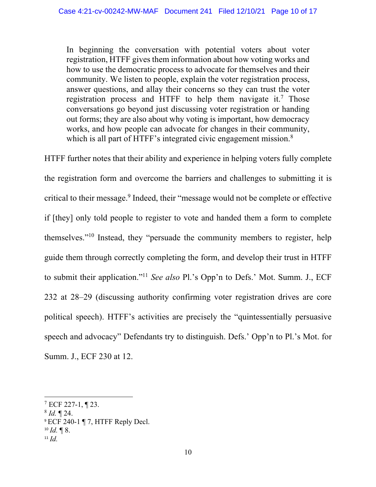In beginning the conversation with potential voters about voter registration, HTFF gives them information about how voting works and how to use the democratic process to advocate for themselves and their community. We listen to people, explain the voter registration process, answer questions, and allay their concerns so they can trust the voter registration process and HTFF to help them navigate it.<sup>7</sup> Those conversations go beyond just discussing voter registration or handing out forms; they are also about why voting is important, how democracy works, and how people can advocate for changes in their community, which is all part of HTFF's integrated civic engagement mission.<sup>8</sup>

HTFF further notes that their ability and experience in helping voters fully complete the registration form and overcome the barriers and challenges to submitting it is critical to their message.9 Indeed, their "message would not be complete or effective if [they] only told people to register to vote and handed them a form to complete themselves."10 Instead, they "persuade the community members to register, help guide them through correctly completing the form, and develop their trust in HTFF to submit their application."11 *See also* Pl.'s Opp'n to Defs.' Mot. Summ. J., ECF 232 at 28–29 (discussing authority confirming voter registration drives are core political speech). HTFF's activities are precisely the "quintessentially persuasive speech and advocacy" Defendants try to distinguish. Defs.' Opp'n to Pl.'s Mot. for Summ. J., ECF 230 at 12.

<sup>9</sup> ECF 240-1 ¶ 7, HTFF Reply Decl.

 $7$  ECF 227-1, ¶ 23.

 $8$  *Id.*  $\P$  24.

 $10$  *Id.*  $\blacksquare$  8.

<sup>11</sup> *Id.*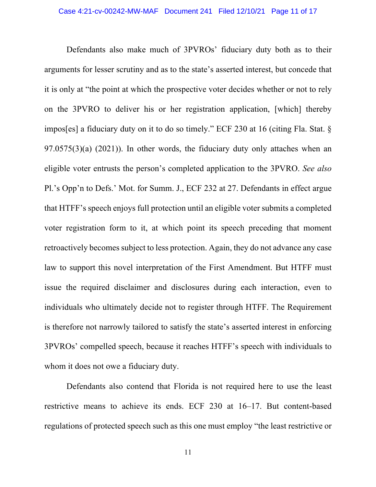Defendants also make much of 3PVROs' fiduciary duty both as to their arguments for lesser scrutiny and as to the state's asserted interest, but concede that it is only at "the point at which the prospective voter decides whether or not to rely on the 3PVRO to deliver his or her registration application, [which] thereby impos[es] a fiduciary duty on it to do so timely." ECF 230 at 16 (citing Fla. Stat. § 97.0575(3)(a) (2021)). In other words, the fiduciary duty only attaches when an eligible voter entrusts the person's completed application to the 3PVRO. *See also* Pl.'s Opp'n to Defs.' Mot. for Summ. J., ECF 232 at 27. Defendants in effect argue that HTFF's speech enjoys full protection until an eligible voter submits a completed voter registration form to it, at which point its speech preceding that moment retroactively becomes subject to less protection. Again, they do not advance any case law to support this novel interpretation of the First Amendment. But HTFF must issue the required disclaimer and disclosures during each interaction, even to individuals who ultimately decide not to register through HTFF. The Requirement is therefore not narrowly tailored to satisfy the state's asserted interest in enforcing 3PVROs' compelled speech, because it reaches HTFF's speech with individuals to whom it does not owe a fiduciary duty.

Defendants also contend that Florida is not required here to use the least restrictive means to achieve its ends. ECF 230 at 16–17. But content-based regulations of protected speech such as this one must employ "the least restrictive or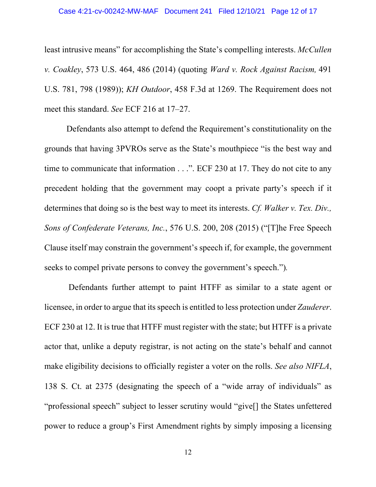#### Case 4:21-cv-00242-MW-MAF Document 241 Filed 12/10/21 Page 12 of 17

least intrusive means" for accomplishing the State's compelling interests. *McCullen v. Coakley*, 573 U.S. 464, 486 (2014) (quoting *Ward v. Rock Against Racism,* 491 U.S. 781, 798 (1989)); *KH Outdoor*, 458 F.3d at 1269. The Requirement does not meet this standard. *See* ECF 216 at 17–27.

Defendants also attempt to defend the Requirement's constitutionality on the grounds that having 3PVROs serve as the State's mouthpiece "is the best way and time to communicate that information . . .". ECF 230 at 17. They do not cite to any precedent holding that the government may coopt a private party's speech if it determines that doing so is the best way to meet its interests. *Cf. Walker v. Tex. Div., Sons of Confederate Veterans, Inc.*, 576 U.S. 200, 208 (2015) ("[T]he Free Speech Clause itself may constrain the government's speech if, for example, the government seeks to compel private persons to convey the government's speech.")*.* 

Defendants further attempt to paint HTFF as similar to a state agent or licensee, in order to argue that its speech is entitled to less protection under *Zauderer*. ECF 230 at 12. It is true that HTFF must register with the state; but HTFF is a private actor that, unlike a deputy registrar, is not acting on the state's behalf and cannot make eligibility decisions to officially register a voter on the rolls. *See also NIFLA*, 138 S. Ct. at 2375 (designating the speech of a "wide array of individuals" as "professional speech" subject to lesser scrutiny would "give[] the States unfettered power to reduce a group's First Amendment rights by simply imposing a licensing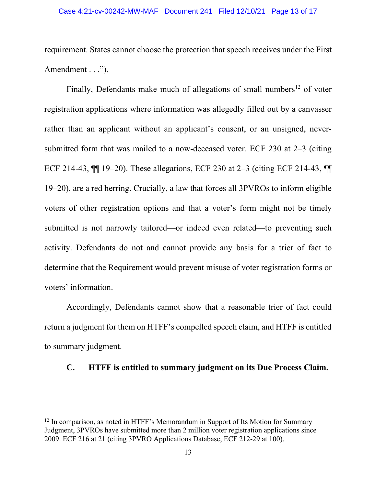requirement. States cannot choose the protection that speech receives under the First Amendment . . .").

Finally, Defendants make much of allegations of small numbers<sup>12</sup> of voter registration applications where information was allegedly filled out by a canvasser rather than an applicant without an applicant's consent, or an unsigned, neversubmitted form that was mailed to a now-deceased voter. ECF 230 at 2–3 (citing ECF 214-43, ¶¶ 19–20). These allegations, ECF 230 at 2–3 (citing ECF 214-43, ¶¶ 19–20), are a red herring. Crucially, a law that forces all 3PVROs to inform eligible voters of other registration options and that a voter's form might not be timely submitted is not narrowly tailored—or indeed even related—to preventing such activity. Defendants do not and cannot provide any basis for a trier of fact to determine that the Requirement would prevent misuse of voter registration forms or voters' information.

Accordingly, Defendants cannot show that a reasonable trier of fact could return a judgment for them on HTFF's compelled speech claim, and HTFF is entitled to summary judgment.

### **C. HTFF is entitled to summary judgment on its Due Process Claim.**

<sup>&</sup>lt;sup>12</sup> In comparison, as noted in HTFF's Memorandum in Support of Its Motion for Summary Judgment, 3PVROs have submitted more than 2 million voter registration applications since 2009. ECF 216 at 21 (citing 3PVRO Applications Database, ECF 212-29 at 100).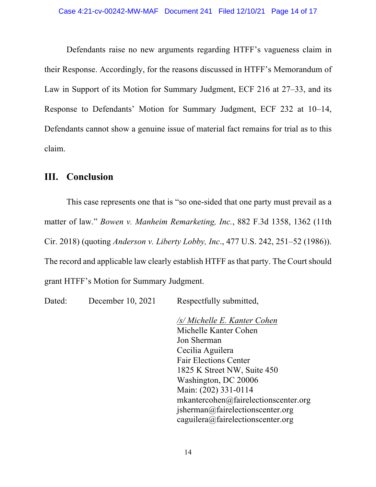Defendants raise no new arguments regarding HTFF's vagueness claim in their Response. Accordingly, for the reasons discussed in HTFF's Memorandum of Law in Support of its Motion for Summary Judgment, ECF 216 at 27–33, and its Response to Defendants' Motion for Summary Judgment, ECF 232 at 10–14, Defendants cannot show a genuine issue of material fact remains for trial as to this claim.

# **III. Conclusion**

This case represents one that is "so one-sided that one party must prevail as a matter of law." *Bowen v. Manheim Remarketing, Inc.*, 882 F.3d 1358, 1362 (11th Cir. 2018) (quoting *Anderson v. Liberty Lobby, Inc*., 477 U.S. 242, 251–52 (1986)). The record and applicable law clearly establish HTFF as that party. The Court should grant HTFF's Motion for Summary Judgment.

Dated: December 10, 2021 Respectfully submitted, */s/ Michelle E. Kanter Cohen* Michelle Kanter Cohen  Jon Sherman   Cecilia Aguilera  Fair Elections Center  1825 K Street NW, Suite 450  Washington, DC 20006  Main: (202) 331-0114  mkantercohen@fairelectionscenter.org jsherman@fairelectionscenter.org 

caguilera@fairelectionscenter.org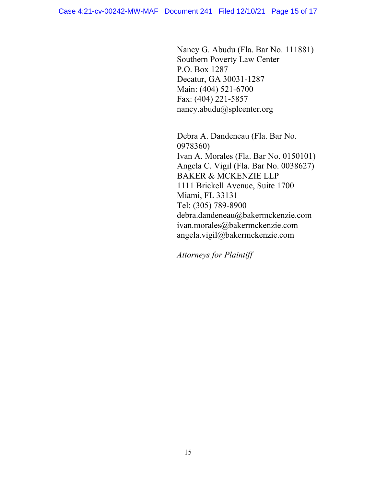Nancy G. Abudu (Fla. Bar No. 111881)  Southern Poverty Law Center  P.O. Box 1287  Decatur, GA 30031-1287  Main: (404) 521-6700  Fax: (404) 221-5857  nancy.abudu@splcenter.org

Debra A. Dandeneau (Fla. Bar No. 0978360) Ivan A. Morales (Fla. Bar No. 0150101) Angela C. Vigil (Fla. Bar No. 0038627) BAKER & MCKENZIE LLP 1111 Brickell Avenue, Suite 1700 Miami, FL 33131 Tel: (305) 789-8900 debra.dandeneau@bakermckenzie.com ivan.morales@bakermckenzie.com angela.vigil@bakermckenzie.com

*Attorneys for Plaintiff*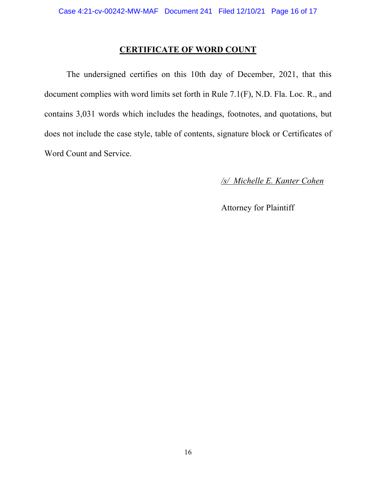### **CERTIFICATE OF WORD COUNT**

The undersigned certifies on this 10th day of December, 2021, that this document complies with word limits set forth in Rule 7.1(F), N.D. Fla. Loc. R., and contains 3,031 words which includes the headings, footnotes, and quotations, but does not include the case style, table of contents, signature block or Certificates of Word Count and Service.

*/s/ Michelle E. Kanter Cohen*

Attorney for Plaintiff